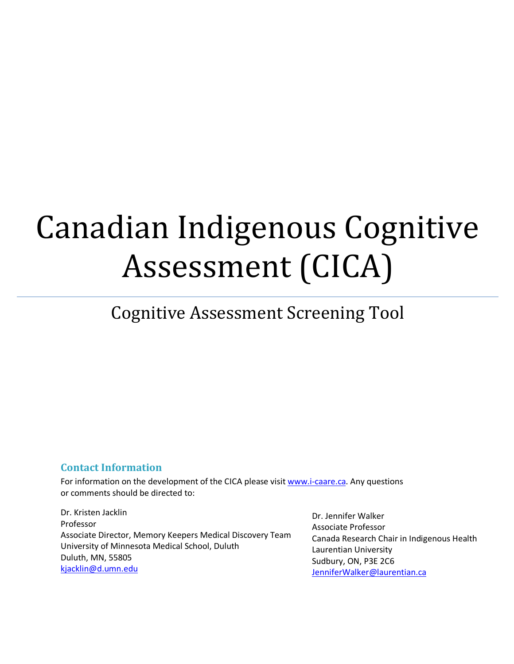# Canadian Indigenous Cognitive Assessment (CICA)

# Cognitive Assessment Screening Tool

## **Contact Information**

For information on the development of the CICA please visit www.i-caare.ca. Any questions or comments should be directed to:

Dr. Kristen Jacklin Professor Associate Director, Memory Keepers Medical Discovery Team University of Minnesota Medical School, Duluth Duluth, MN, 55805 kjacklin@d.umn.edu

Dr. Jennifer Walker Associate Professor Canada Research Chair in Indigenous Health Laurentian University Sudbury, ON, P3E 2C6 JenniferWalker@laurentian.ca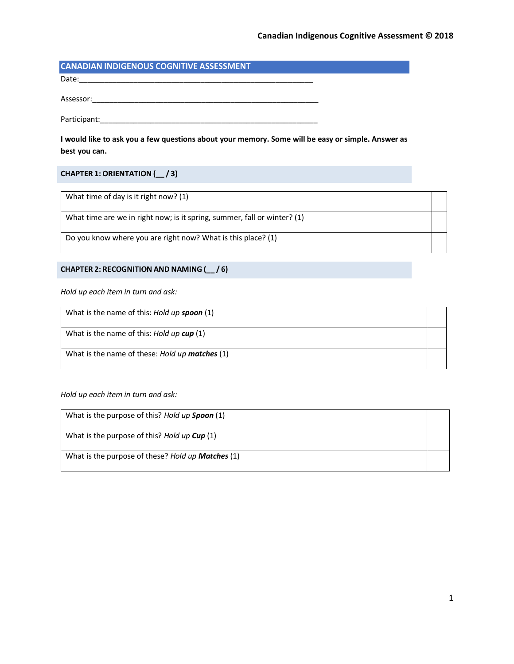### **CANADIAN INDIGENOUS COGNITIVE ASSESSMENT**

Date:\_\_\_\_\_\_\_\_\_\_\_\_\_\_\_\_\_\_\_\_\_\_\_\_\_\_\_\_\_\_\_\_\_\_\_\_\_\_\_\_\_\_\_\_\_\_\_\_\_\_\_\_\_\_\_\_

Assessor:\_\_\_\_\_\_\_\_\_\_\_\_\_\_\_\_\_\_\_\_\_\_\_\_\_\_\_\_\_\_\_\_\_\_\_\_\_\_\_\_\_\_\_\_\_\_\_\_\_\_\_\_\_\_

Participant:\_\_\_\_\_\_\_\_\_\_\_\_\_\_\_\_\_\_\_\_\_\_\_\_\_\_\_\_\_\_\_\_\_\_\_\_\_\_\_\_\_\_\_\_\_\_\_\_\_\_\_\_

**I would like to ask you a few questions about your memory. Some will be easy or simple. Answer as best you can.**

#### **CHAPTER 1: ORIENTATION (\_\_ / 3)**

What time of day is it right now? (1)

What time are we in right now; is it spring, summer, fall or winter? (1)

Do you know where you are right now? What is this place? (1)

#### **CHAPTER 2: RECOGNITION AND NAMING (\_\_ / 6)**

*Hold up each item in turn and ask:*

| What is the name of this: Hold up spoon (1)    |  |
|------------------------------------------------|--|
| What is the name of this: Hold up cup (1)      |  |
| What is the name of these: Hold up matches (1) |  |

*Hold up each item in turn and ask:*

| What is the purpose of this? Hold up Spoon (1)           |  |
|----------------------------------------------------------|--|
| What is the purpose of this? Hold up Cup (1)             |  |
| What is the purpose of these? Hold up <b>Matches</b> (1) |  |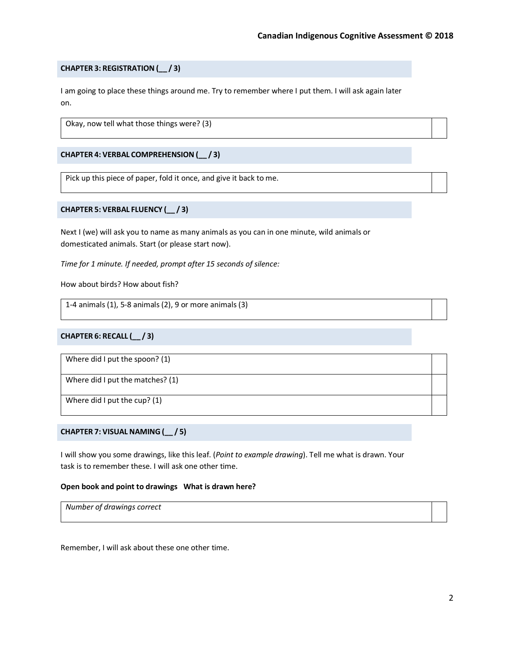#### **CHAPTER 3: REGISTRATION (\_\_ / 3)**

I am going to place these things around me. Try to remember where I put them. I will ask again later on.

Okay, now tell what those things were? (3)

#### **CHAPTER 4: VERBAL COMPREHENSION (\_\_ / 3)**

Pick up this piece of paper, fold it once, and give it back to me.

#### **CHAPTER 5: VERBAL FLUENCY (\_\_ / 3)**

Next I (we) will ask you to name as many animals as you can in one minute, wild animals or domesticated animals. Start (or please start now).

*Time for 1 minute. If needed, prompt after 15 seconds of silence:*

How about birds? How about fish?

1-4 animals (1), 5-8 animals (2), 9 or more animals (3)

#### **CHAPTER 6: RECALL (\_\_ / 3)**

Where did I put the spoon? (1)

Where did I put the matches? (1)

Where did I put the cup? (1)

#### **CHAPTER 7: VISUAL NAMING (\_\_ / 5)**

I will show you some drawings, like this leaf. (*Point to example drawing*). Tell me what is drawn. Your task is to remember these. I will ask one other time.

#### **Open book and point to drawings What is drawn here?**

*Number of drawings correct*

Remember, I will ask about these one other time.